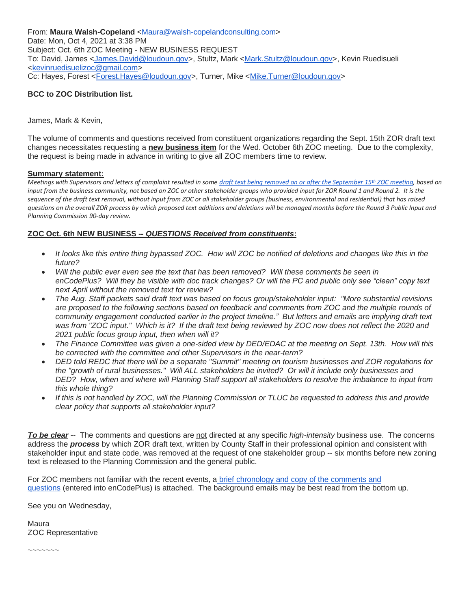From: **Maura Walsh-Copeland** [<Maura@walsh-copelandconsulting.com>](mailto:Maura@walsh-copelandconsulting.com) Date: Mon, Oct 4, 2021 at 3:38 PM Subject: Oct. 6th ZOC Meeting - NEW BUSINESS REQUEST To: David, James [<James.David@loudoun.gov>](mailto:James.David@loudoun.gov), Stultz, Mark [<Mark.Stultz@loudoun.gov>](mailto:Mark.Stultz@loudoun.gov), Kevin Ruedisueli [<kevinruedisuelizoc@gmail.com>](mailto:kevinruedisuelizoc@gmail.com) Cc: Hayes, Forest [<Forest.Hayes@loudoun.gov>](mailto:Forest.Hayes@loudoun.gov), Turner, Mike [<Mike.Turner@loudoun.gov>](mailto:Mike.Turner@loudoun.gov)

# **BCC to ZOC Distribution list.**

James, Mark & Kevin,

The volume of comments and questions received from constituent organizations regarding the Sept. 15th ZOR draft text changes necessitates requesting a **new business item** for the Wed. October 6th ZOC meeting. Due to the complexity, the request is being made in advance in writing to give all ZOC members time to review.

### **Summary statement:**

*Meetings with Supervisors and letters of complaint resulted in some [draft text being removed on or after the September 15](https://loudouncoalition.org/wp-content/uploads/2021/10/2021_09-15-ZOR-Draft-Text-Removed-Ltrs-Emails.pdf)th ZOC meeting, based on input from the business community, not based on ZOC or other stakeholder groups who provided input for ZOR Round 1 and Round 2. It is the sequence of the draft text removal, without input from ZOC or all stakeholder groups (business, environmental and residential) that has raised questions on the overall ZOR process by which proposed text additions and deletions will be managed months before the Round 3 Public Input and Planning Commission 90-day review.*

## **ZOC Oct. 6th NEW BUSINESS --** *QUESTIONS Received from constituents***:**

- *It looks like this entire thing bypassed ZOC. How will ZOC be notified of deletions and changes like this in the future?*
- *Will the public ever even see the text that has been removed? Will these comments be seen in enCodePlus? Will they be visible with doc track changes? Or will the PC and public only see "clean" copy text next April without the removed text for review?*
- *The Aug. Staff packets said draft text was based on focus group/stakeholder input: "More substantial revisions are proposed to the following sections based on feedback and comments from ZOC and the multiple rounds of community engagement conducted earlier in the project timeline." But letters and emails are implying draft text was from "ZOC input." Which is it? If the draft text being reviewed by ZOC now does not reflect the 2020 and 2021 public focus group input, then when will it?*
- *The Finance Committee was given a one-sided view by DED/EDAC at the meeting on Sept. 13th. How will this be corrected with the committee and other Supervisors in the near-term?*
- *DED told REDC that there will be a separate "Summit" meeting on tourism businesses and ZOR regulations for the "growth of rural businesses." Will ALL stakeholders be invited? Or will it include only businesses and DED? How, when and where will Planning Staff support all stakeholders to resolve the imbalance to input from this whole thing?*
- *If this is not handled by ZOC, will the Planning Commission or TLUC be requested to address this and provide clear policy that supports all stakeholder input?*

*To be clear* -- The comments and questions are not directed at any specific *high-intensity* business use. The concerns address the *process* by which ZOR draft text, written by County Staff in their professional opinion and consistent with stakeholder input and state code, was removed at the request of one stakeholder group -- six months before new zoning text is released to the Planning Commission and the general public.

For ZOC members not familiar with the recent events, a [brief chronology and copy of the comments and](https://loudouncoalition.org/wp-content/uploads/2021/10/ZOR-Draft-Text-Removal-Comments-Questions-10-6-2021.pdf)  [questions](https://loudouncoalition.org/wp-content/uploads/2021/10/ZOR-Draft-Text-Removal-Comments-Questions-10-6-2021.pdf) (entered into enCodePlus) is attached. The background emails may be best read from the bottom up.

See you on Wednesday,

Maura ZOC Representative

~~~~~~~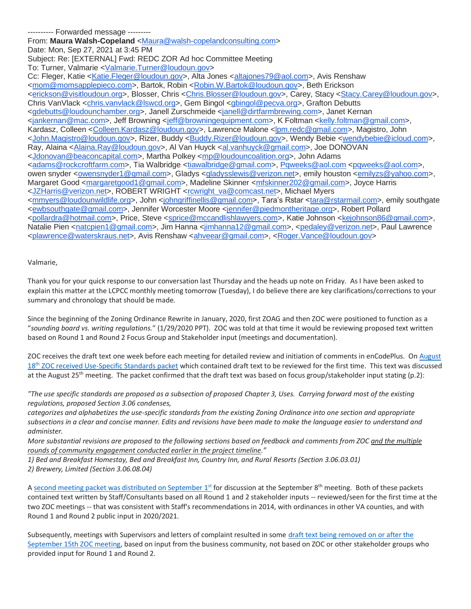---------- Forwarded message --------- From: **Maura Walsh-Copeland** [<Maura@walsh-copelandconsulting.com>](mailto:Maura@walsh-copelandconsulting.com) Date: Mon, Sep 27, 2021 at 3:45 PM Subject: Re: [EXTERNAL] Fwd: REDC ZOR Ad hoc Committee Meeting To: Turner, Valmarie [<Valmarie.Turner@loudoun.gov>](mailto:Valmarie.Turner@loudoun.gov) Cc: Fleger, Katie [<Katie.Fleger@loudoun.gov>](mailto:Katie.Fleger@loudoun.gov), Alta Jones [<altajones79@aol.com>](mailto:altajones79@aol.com), Avis Renshaw [<mom@momsapplepieco.com>](mailto:mom@momsapplepieco.com), Bartok, Robin [<Robin.W.Bartok@loudoun.gov>](mailto:Robin.W.Bartok@loudoun.gov), Beth Erickson [<erickson@visitloudoun.org>](mailto:erickson@visitloudoun.org), Blosser, Chris [<Chris.Blosser@loudoun.gov>](mailto:Chris.Blosser@loudoun.gov), Carey, Stacy [<Stacy.Carey@loudoun.gov>](mailto:Stacy.Carey@loudoun.gov), Chris VanVlack [<chris.vanvlack@lswcd.org>](mailto:chris.vanvlack@lswcd.org), Gem Bingol [<gbingol@pecva.org>](mailto:gbingol@pecva.org), Grafton Debutts [<gdebutts@loudounchamber.org>](mailto:gdebutts@loudounchamber.org), Janell Zurschmeide [<janell@dirtfarmbrewing.com>](mailto:janell@dirtfarmbrewing.com), Janet Kernan [<jankernan@mac.com>](mailto:jankernan@mac.com), Jeff Browning [<jeff@browningequipment.com>](mailto:jeff@browningequipment.com), K Foltman [<kelly.foltman@gmail.com>](mailto:kelly.foltman@gmail.com), Kardasz, Colleen [<Colleen.Kardasz@loudoun.gov>](mailto:Colleen.Kardasz@loudoun.gov), Lawrence Malone [<lpm.redc@gmail.com>](mailto:lpm.redc@gmail.com), Magistro, John [<John.Magistro@loudoun.gov>](mailto:John.Magistro@loudoun.gov), Rizer, Buddy [<Buddy.Rizer@loudoun.gov>](mailto:Buddy.Rizer@loudoun.gov), Wendy Bebie [<wendybebie@icloud.com>](mailto:wendybebie@icloud.com), Ray, Alaina [<Alaina.Ray@loudoun.gov>](mailto:Alaina.Ray@loudoun.gov), Al Van Huyck [<al.vanhuyck@gmail.com>](mailto:al.vanhuyck@gmail.com), Joe DONOVAN [<Jdonovan@beaconcapital.com>](mailto:Jdonovan@beaconcapital.com), Martha Polkey [<mp@loudouncoalition.org>](mailto:mp@loudouncoalition.org), John Adams [<adams@rockcroftfarm.com>](mailto:adams@rockcroftfarm.com), Tia Walbridge [<tiawalbridge@gmail.com>](mailto:tiawalbridge@gmail.com), [Pqweeks@aol.com](mailto:Pqweeks@aol.com) [<pqweeks@aol.com>](mailto:pqweeks@aol.com), owen snyder [<owensnyder1@gmail.com>](mailto:owensnyder1@gmail.com), Gladys [<gladysslewis@verizon.net>](mailto:gladysslewis@verizon.net), emily houston [<emilyzs@yahoo.com>](mailto:emilyzs@yahoo.com), Margaret Good [<margaretgood1@gmail.com>](mailto:margaretgood1@gmail.com), Madeline Skinner [<mfskinner202@gmail.com>](mailto:mfskinner202@gmail.com), Joyce Harris [<JZHarris@verizon.net>](mailto:JZHarris@verizon.net), ROBERT WRIGHT [<rcwright\\_va@comcast.net>](mailto:rcwright_va@comcast.net), Michael Myers [<mmyers@loudounwildlife.org>](mailto:mmyers@loudounwildlife.org), John [<johngriffinellis@gmail.com>](mailto:johngriffinellis@gmail.com), Tara's Rstar [<tara@rstarmail.com>](mailto:tara@rstarmail.com), emily southgate [<ewbsouthgate@gmail.com>](mailto:ewbsouthgate@gmail.com), Jennifer Worcester Moore [<jennifer@piedmontheritage.org>](mailto:jennifer@piedmontheritage.org), Robert Pollard [<pollardra@hotmail.com>](mailto:pollardra@hotmail.com), Price, Steve [<sprice@mccandlishlawyers.com>](mailto:sprice@mccandlishlawyers.com), Katie Johnson [<kejohnson86@gmail.com>](mailto:kejohnson86@gmail.com), Natalie Pien [<natcpien1@gmail.com>](mailto:natcpien1@gmail.com), Jim Hanna [<jimhanna12@gmail.com>](mailto:jimhanna12@gmail.com), [<pedaley@verizon.net>](mailto:pedaley@verizon.net), Paul Lawrence [<plawrence@waterskraus.net>](mailto:plawrence@waterskraus.net), Avis Renshaw [<ahveear@gmail.com>](mailto:ahveear@gmail.com), [<Roger.Vance@loudoun.gov>](mailto:Roger.Vance@loudoun.gov)

#### Valmarie,

Thank you for your quick response to our conversation last Thursday and the heads up note on Friday. As I have been asked to explain this matter at the LCPCC monthly meeting tomorrow (Tuesday), I do believe there are key clarifications/corrections to your summary and chronology that should be made.

Since the beginning of the Zoning Ordinance Rewrite in January, 2020, first ZOAG and then ZOC were positioned to function as a "*sounding board vs. writing regulations.*" (1/29/2020 PPT). ZOC was told at that time it would be reviewing proposed text written based on Round 1 and Round 2 Focus Group and Stakeholder input (meetings and documentation).

ZOC receives the draft text one week before each meeting for detailed review and initiation of comments in enCodePlus. On [August](https://loudouncoalition.org/wp-content/uploads/2021/08/08-25-2021-ZOC-Packet-USE-STANDARDS-1-REVIEW.pdf)  18<sup>th</sup> [ZOC received Use-Specific Standards packet](https://loudouncoalition.org/wp-content/uploads/2021/08/08-25-2021-ZOC-Packet-USE-STANDARDS-1-REVIEW.pdf) which contained draft text to be reviewed for the first time. This text was discussed at the August 25<sup>th</sup> meeting. The packet confirmed that the draft text was based on focus group/stakeholder input stating (p.2):

*"The use specific standards are proposed as a subsection of proposed Chapter 3, Uses. Carrying forward most of the existing regulations, proposed Section 3.06 condenses,*

*categorizes and alphabetizes the use-specific standards from the existing Zoning Ordinance into one section and appropriate subsections in a clear and concise manner. Edits and revisions have been made to make the language easier to understand and administer.*

*More substantial revisions are proposed to the following sections based on feedback and comments from ZOC and the multiple rounds of community engagement conducted earlier in the project timeline."*

*1) Bed and Breakfast Homestay, Bed and Breakfast Inn, Country Inn, and Rural Resorts (Section 3.06.03.01) 2) Brewery, Limited (Section 3.06.08.04)*

A [second meeting packet was distributed on September 1](https://loudouncoalition.org/wp-content/uploads/2021/09/09-08-21-ZOC-Packet-USE-STANDARDS-2.pdf)st for discussion at the September 8<sup>th</sup> meeting. Both of these packets contained text written by Staff/Consultants based on all Round 1 and 2 stakeholder inputs -- reviewed/seen for the first time at the two ZOC meetings -- that was consistent with Staff's recommendations in 2014, with ordinances in other VA counties, and with Round 1 and Round 2 public input in 2020/2021.

Subsequently, meetings with Supervisors and letters of complaint resulted in some [draft text being removed on or after the](https://loudouncoalition.org/wp-content/uploads/2021/10/2021_09-15-ZOR-Draft-Text-Removed-Ltrs-Emails.pdf) [September 15th ZOC meeting,](https://loudouncoalition.org/wp-content/uploads/2021/10/2021_09-15-ZOR-Draft-Text-Removed-Ltrs-Emails.pdf) based on input from the business community, not based on ZOC or other stakeholder groups who provided input for Round 1 and Round 2.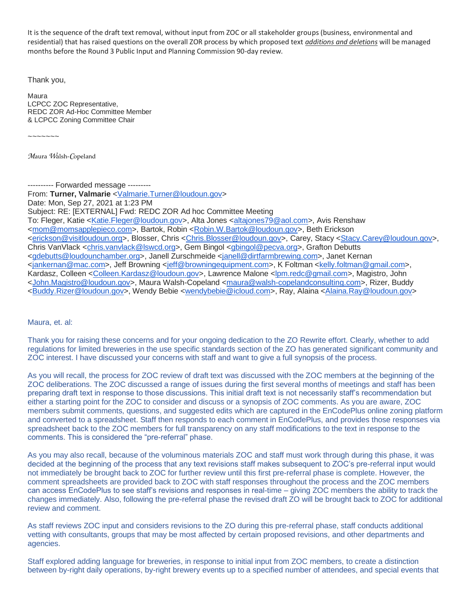It is the sequence of the draft text removal, without input from ZOC or all stakeholder groups (business, environmental and residential) that has raised questions on the overall ZOR process by which proposed text *additions and deletions* will be managed months before the Round 3 Public Input and Planning Commission 90-day review.

Thank you,

Maura LCPCC ZOC Representative, REDC ZOR Ad-Hoc Committee Member & LCPCC Zoning Committee Chair

 $~\sim$   $~\sim$   $~\sim$   $~\sim$ 

*M*aura *W*alsh-*C*opeland

---------- Forwarded message ---------

From: **Turner, Valmarie** [<Valmarie.Turner@loudoun.gov>](mailto:Valmarie.Turner@loudoun.gov) Date: Mon, Sep 27, 2021 at 1:23 PM Subject: RE: [EXTERNAL] Fwd: REDC ZOR Ad hoc Committee Meeting To: Fleger, Katie [<Katie.Fleger@loudoun.gov>](mailto:Katie.Fleger@loudoun.gov), Alta Jones [<altajones79@aol.com>](mailto:altajones79@aol.com), Avis Renshaw [<mom@momsapplepieco.com>](mailto:mom@momsapplepieco.com), Bartok, Robin [<Robin.W.Bartok@loudoun.gov>](mailto:Robin.W.Bartok@loudoun.gov), Beth Erickson [<erickson@visitloudoun.org>](mailto:erickson@visitloudoun.org), Blosser, Chris [<Chris.Blosser@loudoun.gov>](mailto:Chris.Blosser@loudoun.gov), Carey, Stacy [<Stacy.Carey@loudoun.gov>](mailto:Stacy.Carey@loudoun.gov), Chris VanVlack [<chris.vanvlack@lswcd.org>](mailto:chris.vanvlack@lswcd.org), Gem Bingol [<gbingol@pecva.org>](mailto:gbingol@pecva.org), Grafton Debutts [<gdebutts@loudounchamber.org>](mailto:gdebutts@loudounchamber.org), Janell Zurschmeide [<janell@dirtfarmbrewing.com>](mailto:janell@dirtfarmbrewing.com), Janet Kernan [<jankernan@mac.com>](mailto:jankernan@mac.com), Jeff Browning [<jeff@browningequipment.com>](mailto:jeff@browningequipment.com), K Foltman [<kelly.foltman@gmail.com>](mailto:kelly.foltman@gmail.com), Kardasz, Colleen [<Colleen.Kardasz@loudoun.gov>](mailto:Colleen.Kardasz@loudoun.gov), Lawrence Malone [<lpm.redc@gmail.com>](mailto:lpm.redc@gmail.com), Magistro, John [<John.Magistro@loudoun.gov>](mailto:John.Magistro@loudoun.gov), Maura Walsh-Copeland [<maura@walsh-copelandconsulting.com>](mailto:maura@walsh-copelandconsulting.com), Rizer, Buddy [<Buddy.Rizer@loudoun.gov>](mailto:Buddy.Rizer@loudoun.gov), Wendy Bebie [<wendybebie@icloud.com>](mailto:wendybebie@icloud.com), Ray, Alaina [<Alaina.Ray@loudoun.gov>](mailto:Alaina.Ray@loudoun.gov)

Maura, et. al:

Thank you for raising these concerns and for your ongoing dedication to the ZO Rewrite effort. Clearly, whether to add regulations for limited breweries in the use specific standards section of the ZO has generated significant community and ZOC interest. I have discussed your concerns with staff and want to give a full synopsis of the process.

As you will recall, the process for ZOC review of draft text was discussed with the ZOC members at the beginning of the ZOC deliberations. The ZOC discussed a range of issues during the first several months of meetings and staff has been preparing draft text in response to those discussions. This initial draft text is not necessarily staff's recommendation but either a starting point for the ZOC to consider and discuss or a synopsis of ZOC comments. As you are aware, ZOC members submit comments, questions, and suggested edits which are captured in the EnCodePlus online zoning platform and converted to a spreadsheet. Staff then responds to each comment in EnCodePlus, and provides those responses via spreadsheet back to the ZOC members for full transparency on any staff modifications to the text in response to the comments. This is considered the "pre-referral" phase.

As you may also recall, because of the voluminous materials ZOC and staff must work through during this phase, it was decided at the beginning of the process that any text revisions staff makes subsequent to ZOC's pre-referral input would not immediately be brought back to ZOC for further review until this first pre-referral phase is complete. However, the comment spreadsheets are provided back to ZOC with staff responses throughout the process and the ZOC members can access EnCodePlus to see staff's revisions and responses in real-time – giving ZOC members the ability to track the changes immediately. Also, following the pre-referral phase the revised draft ZO will be brought back to ZOC for additional review and comment.

As staff reviews ZOC input and considers revisions to the ZO during this pre-referral phase, staff conducts additional vetting with consultants, groups that may be most affected by certain proposed revisions, and other departments and agencies.

Staff explored adding language for breweries, in response to initial input from ZOC members, to create a distinction between by-right daily operations, by-right brewery events up to a specified number of attendees, and special events that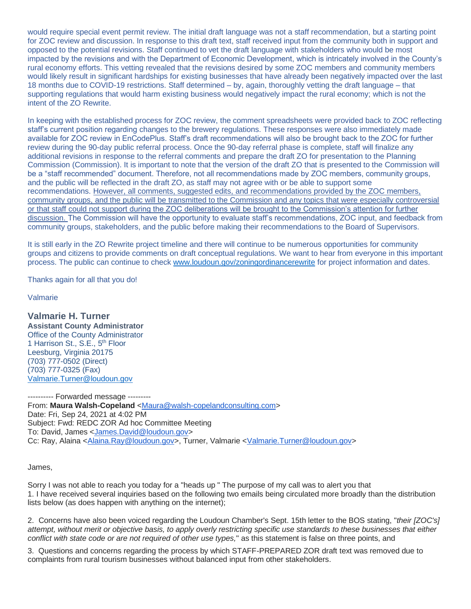would require special event permit review. The initial draft language was not a staff recommendation, but a starting point for ZOC review and discussion. In response to this draft text, staff received input from the community both in support and opposed to the potential revisions. Staff continued to vet the draft language with stakeholders who would be most impacted by the revisions and with the Department of Economic Development, which is intricately involved in the County's rural economy efforts. This vetting revealed that the revisions desired by some ZOC members and community members would likely result in significant hardships for existing businesses that have already been negatively impacted over the last 18 months due to COVID-19 restrictions. Staff determined – by, again, thoroughly vetting the draft language – that supporting regulations that would harm existing business would negatively impact the rural economy; which is not the intent of the ZO Rewrite.

In keeping with the established process for ZOC review, the comment spreadsheets were provided back to ZOC reflecting staff's current position regarding changes to the brewery regulations. These responses were also immediately made available for ZOC review in EnCodePlus. Staff's draft recommendations will also be brought back to the ZOC for further review during the 90-day public referral process. Once the 90-day referral phase is complete, staff will finalize any additional revisions in response to the referral comments and prepare the draft ZO for presentation to the Planning Commission (Commission). It is important to note that the version of the draft ZO that is presented to the Commission will be a "staff recommended" document. Therefore, not all recommendations made by ZOC members, community groups, and the public will be reflected in the draft ZO, as staff may not agree with or be able to support some recommendations. However, all comments, suggested edits, and recommendations provided by the ZOC members, community groups, and the public will be transmitted to the Commission and any topics that were especially controversial or that staff could not support during the ZOC deliberations will be brought to the Commission's attention for further discussion. The Commission will have the opportunity to evaluate staff's recommendations, ZOC input, and feedback from community groups, stakeholders, and the public before making their recommendations to the Board of Supervisors.

It is still early in the ZO Rewrite project timeline and there will continue to be numerous opportunities for community groups and citizens to provide comments on draft conceptual regulations. We want to hear from everyone in this important process. The public can continue to check [www.loudoun.gov/zoningordinancerewrite](http://www.loudoun.gov/zoningordinancerewrite) for project information and dates.

Thanks again for all that you do!

Valmarie

**Valmarie H. Turner Assistant County Administrator** Office of the County Administrator 1 Harrison St., S.E., 5<sup>th</sup> Floor Leesburg, Virginia 20175 (703) 777-0502 (Direct) (703) 777-0325 (Fax) [Valmarie.Turner@loudoun.gov](mailto:Valmarie.Turner@loudoun.gov)

---------- Forwarded message --------- From: **Maura Walsh-Copeland** [<Maura@walsh-copelandconsulting.com>](mailto:Maura@walsh-copelandconsulting.com) Date: Fri, Sep 24, 2021 at 4:02 PM Subject: Fwd: REDC ZOR Ad hoc Committee Meeting To: David, James [<James.David@loudoun.gov>](mailto:James.David@loudoun.gov) Cc: Ray, Alaina [<Alaina.Ray@loudoun.gov>](mailto:Alaina.Ray@loudoun.gov), Turner, Valmarie [<Valmarie.Turner@loudoun.gov>](mailto:Valmarie.Turner@loudoun.gov)

James,

Sorry I was not able to reach you today for a "heads up " The purpose of my call was to alert you that 1. I have received several inquiries based on the following two emails being circulated more broadly than the distribution lists below (as does happen with anything on the internet);

2. Concerns have also been voiced regarding the Loudoun Chamber's Sept. 15th letter to the BOS stating, "*their [ZOC's] attempt, without merit or objective basis, to apply overly restricting specific use standards to these businesses that either conflict with state code or are not required of other use types,*" as this statement is false on three points, and

3. Questions and concerns regarding the process by which STAFF-PREPARED ZOR draft text was removed due to complaints from rural tourism businesses without balanced input from other stakeholders.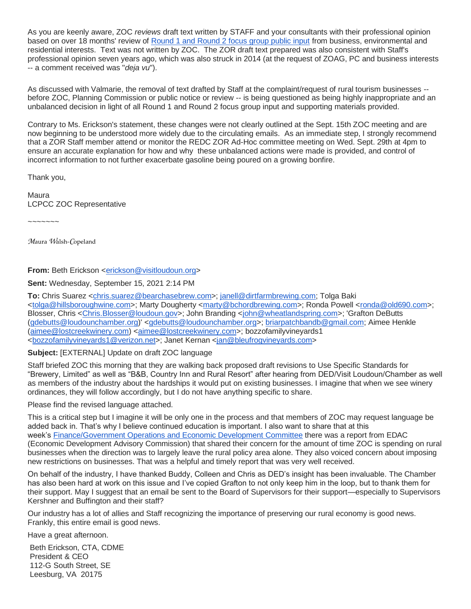As you are keenly aware, ZOC *reviews* draft text written by STAFF and your consultants with their professional opinion based on over 18 months' review of [Round 1 and Round 2 focus group public input](https://urldefense.com/v3/__https:/loudouncoalition.org/2020/07/additional-public-input/__;!!IvMiCv_-VA!nqj3aqq7Twpq_g1cUkOTr4A9kXRPrXN93XfE8Jk6T7tBYQpDaP86FVTTtWcz2Imv-LbzsMei$) from business, environmental and residential interests. Text was not written by ZOC. The ZOR draft text prepared was also consistent with Staff's professional opinion seven years ago, which was also struck in 2014 (at the request of ZOAG, PC and business interests -- a comment received was "*deja vu*").

As discussed with Valmarie, the removal of text drafted by Staff at the complaint/request of rural tourism businesses - before ZOC, Planning Commission or public notice or review -- is being questioned as being highly inappropriate and an unbalanced decision in light of all Round 1 and Round 2 focus group input and supporting materials provided.

Contrary to Ms. Erickson's statement, these changes were not clearly outlined at the Sept. 15th ZOC meeting and are now beginning to be understood more widely due to the circulating emails. As an immediate step, I strongly recommend that a ZOR Staff member attend or monitor the REDC ZOR Ad-Hoc committee meeting on Wed. Sept. 29th at 4pm to ensure an accurate explanation for how and why these unbalanced actions were made is provided, and control of incorrect information to not further exacerbate gasoline being poured on a growing bonfire.

Thank you,

Maura LCPCC ZOC Representative

 $\sim$ ~~~~~

*M*aura *W*alsh-*C*opeland

From: Beth Erickson [<erickson@visitloudoun.org>](mailto:erickson@visitloudoun.org)

**Sent:** Wednesday, September 15, 2021 2:14 PM

**To:** Chris Suarez [<chris.suarez@bearchasebrew.com>](mailto:chris.suarez@bearchasebrew.com); [janell@dirtfarmbrewing.com;](mailto:janell@dirtfarmbrewing.com) Tolga Baki [<tolga@hillsboroughwine.com>](mailto:tolga@hillsboroughwine.com); Marty Dougherty [<marty@bchordbrewing.com>](mailto:marty@bchordbrewing.com); Ronda Powell [<ronda@old690.com>](mailto:ronda@old690.com); Blosser, Chris [<Chris.Blosser@loudoun.gov>](mailto:Chris.Blosser@loudoun.gov); John Branding [<john@wheatlandspring.com>](mailto:john@wheatlandspring.com); 'Grafton DeButts [\(gdebutts@loudounchamber.org\)](mailto:gdebutts@loudounchamber.org)' [<gdebutts@loudounchamber.org>](mailto:gdebutts@loudounchamber.org); [briarpatchbandb@gmail.com;](mailto:briarpatchbandb@gmail.com) Aimee Henkle [\(aimee@lostcreekwinery.com\)](mailto:aimee@lostcreekwinery.com) [<aimee@lostcreekwinery.com>](mailto:aimee@lostcreekwinery.com); bozzofamilyvineyards1 [<bozzofamilyvineyards1@verizon.net>](mailto:bozzofamilyvineyards1@verizon.net); Janet Kernan [<jan@bleufrogvineyards.com>](mailto:jan@bleufrogvineyards.com)

## **Subject:** [EXTERNAL] Update on draft ZOC language

Staff briefed ZOC this morning that they are walking back proposed draft revisions to Use Specific Standards for "Brewery, Limited" as well as "B&B, Country Inn and Rural Resort" after hearing from DED/Visit Loudoun/Chamber as well as members of the industry about the hardships it would put on existing businesses. I imagine that when we see winery ordinances, they will follow accordingly, but I do not have anything specific to share.

Please find the revised language attached.

This is a critical step but I imagine it will be only one in the process and that members of ZOC may request language be added back in. That's why I believe continued education is important. I also want to share that at this week's [Finance/Government Operations and Economic Development Committee](https://www.loudoun.gov/4864/Standing-Committees) there was a report from EDAC (Economic Development Advisory Commission) that shared their concern for the amount of time ZOC is spending on rural businesses when the direction was to largely leave the rural policy area alone. They also voiced concern about imposing new restrictions on businesses. That was a helpful and timely report that was very well received.

On behalf of the industry, I have thanked Buddy, Colleen and Chris as DED's insight has been invaluable. The Chamber has also been hard at work on this issue and I've copied Grafton to not only keep him in the loop, but to thank them for their support. May I suggest that an email be sent to the Board of Supervisors for their support—especially to Supervisors Kershner and Buffington and their staff?

Our industry has a lot of allies and Staff recognizing the importance of preserving our rural economy is good news. Frankly, this entire email is good news.

Have a great afternoon.

Beth Erickson, CTA, CDME President & CEO 112-G South Street, SE Leesburg, VA 20175